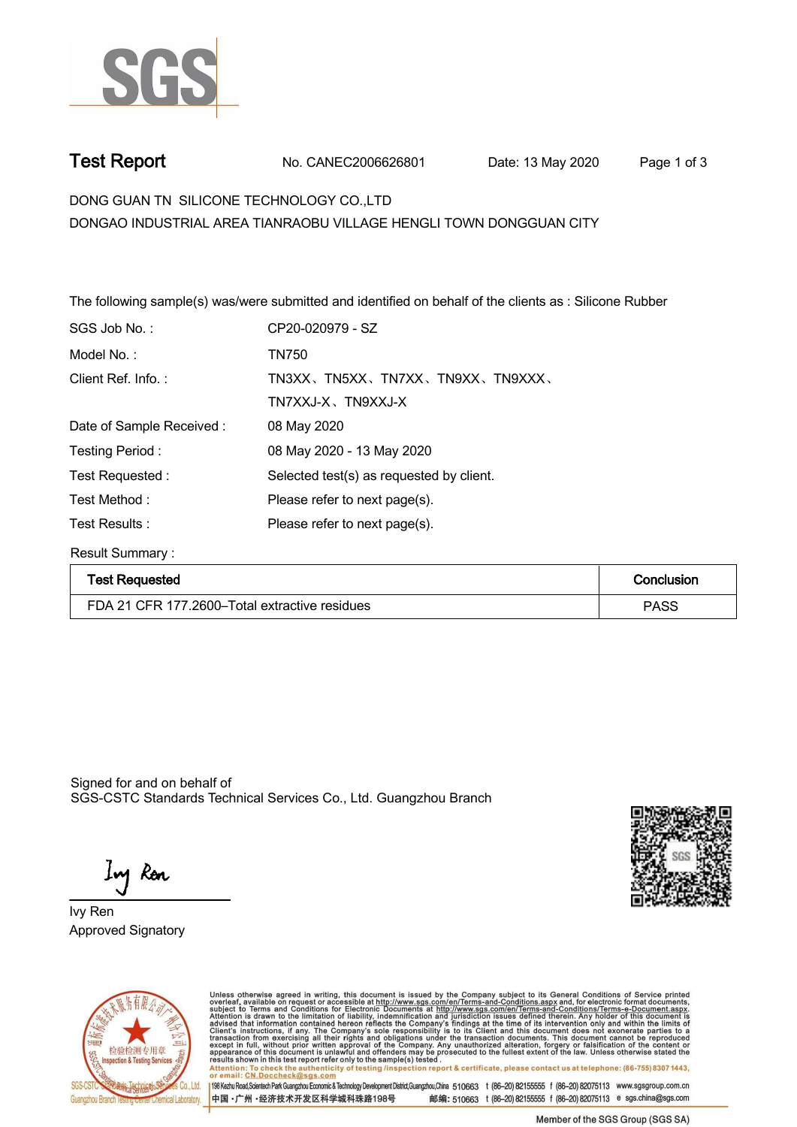

**Test Report. No. CANEC2006626801 Date: 13 May 2020 . Page 1 of 3.**

**DONG GUAN TN SILICONE TECHNOLOGY CO.,LTD . DONGAO INDUSTRIAL AREA TIANRAOBU VILLAGE HENGLI TOWN DONGGUAN CITY**

**The following sample(s) was/were submitted and identified on behalf of the clients as : Silicone Rubber .**

| CP20-020979 - SZ                         |
|------------------------------------------|
| <b>TN750</b>                             |
| TN3XX、TN5XX、TN7XX、TN9XX、TN9XXX、          |
| TN7XXJ-X、TN9XXJ-X                        |
| 08 May 2020                              |
| 08 May 2020 - 13 May 2020                |
| Selected test(s) as requested by client. |
| Please refer to next page(s).            |
| Please refer to next page(s).            |
|                                          |

**Result Summary :.**

| <b>Test Requested</b>                         | Conclusion  |
|-----------------------------------------------|-------------|
| FDA 21 CFR 177.2600–Total extractive residues | <b>PASS</b> |

Signed for and on behalf of SGS-CSTC Standards Technical Services Co., Ltd. Guangzhou Branch.

Ing Ron

**Approved Signatory . . . Ivy Ren.**





Unless otherwise agreed in writing, this document is issued by the Company subject to its General Conditions of Service printed<br>overleaf, available on request or accessible at http://www.sgs.com/en/Terms-and-Conditions.asp Attention: To check the authenticity of testing /inspection report & certificate, please contact us at telephone: (86-755) 8307 1443,<br>Attention: To check the authenticity of testing /inspection report & certificate, please

198 Kezhu Road,Scientech Park Guangzhou Economic & Technology Development District,Guangzhou,China 510663 t (86-20) 82155555 f (86-20) 82075113 www.sgsgroup.com.cn 邮编: 510663 t (86-20) 82155555 f (86-20) 82075113 e sgs.china@sgs.com 中国·广州·经济技术开发区科学城科珠路198号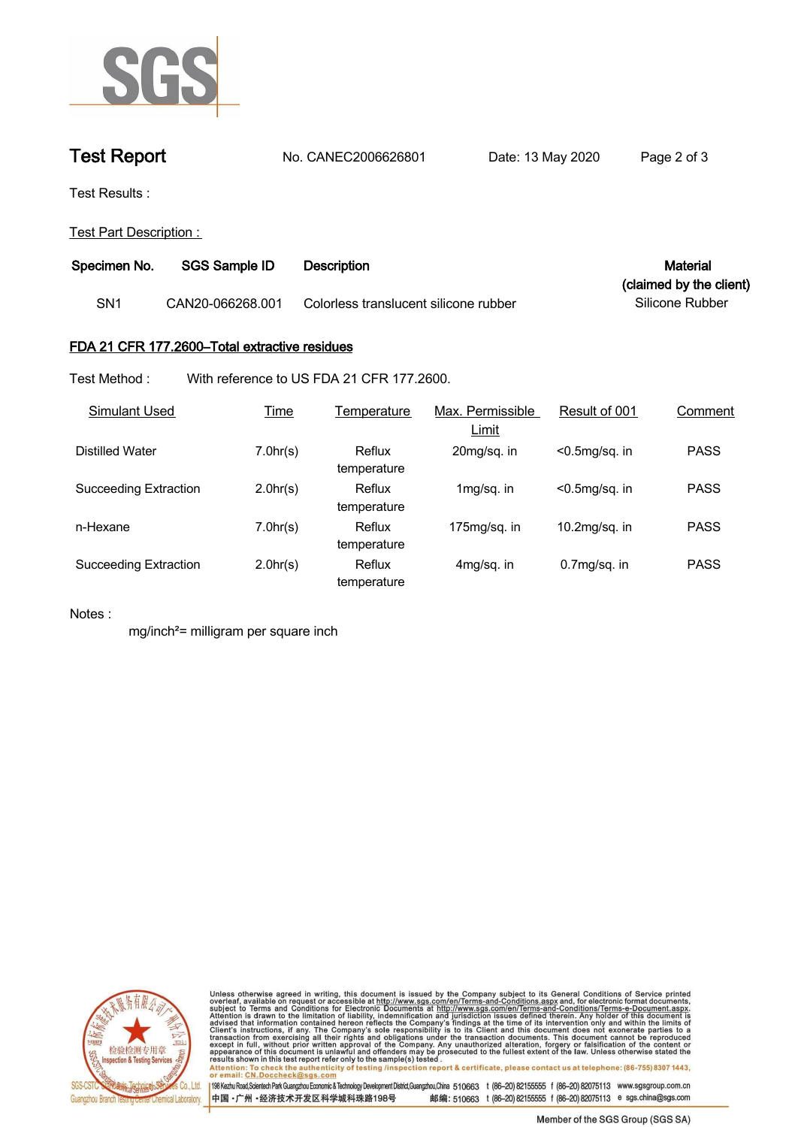

## **Test Report. No. CANEC2006626801 Date: 13 May 2020 . Page 2 of 3.**

**Test Results :.**

**Test Part Description : .**

| Specimen No. | SGS Sample ID    | Material<br>Description               |                         |
|--------------|------------------|---------------------------------------|-------------------------|
|              |                  |                                       | (claimed by the client) |
| SN1          | CAN20-066268.001 | Colorless translucent silicone rubber | Silicone Rubber         |

## **FDA 21 CFR 177.2600–Total extractive residues.**

**Test Method :. With reference to US FDA 21 CFR 177.2600. .**

| Simulant Used                | <b>Time</b> | Temperature           | Max. Permissible<br>Limit | Result of 001     | Comment     |
|------------------------------|-------------|-----------------------|---------------------------|-------------------|-------------|
| Distilled Water              | 7.0hr(s)    | Reflux<br>temperature | 20mg/sq. in               | $< 0.5$ mg/sq. in | <b>PASS</b> |
| <b>Succeeding Extraction</b> | 2.0hr(s)    | Reflux<br>temperature | 1mg/sq. in                | $<$ 0.5mg/sq. in  | <b>PASS</b> |
| n-Hexane                     | 7.0hr(s)    | Reflux<br>temperature | $175$ mg/sg. in           | $10.2$ mg/sq. in  | <b>PASS</b> |
| Succeeding Extraction        | 2.0hr(s)    | Reflux<br>temperature | 4mg/sq. in                | $0.7mg/sq.$ in    | <b>PASS</b> |

**Notes :.**

**mg/inch²= milligram per square inch .**



Unless otherwise agreed in writing, this document is issued by the Company subject to its General Conditions of Service printed<br>overleaf, available on request or accessible at http://www.sgs.com/en/Terms-and-Conditions.asp results shown in this test report refer only to the sample(s) tested .<br>Attention: To check the authenticity of testing /inspection report & certificate, please contact us at telephone: (86-755) 8307 1443,<br>or email: <u>CN.Doc</u>

198 Kezhu Road,Scientech Park Guangzhou Economic & Technology Development District,Guangzhou,China 510663 t (86-20) 82155555 f (86-20) 82075113 www.sgsgroup.com.cn 中国·广州·经济技术开发区科学城科珠路198号 邮编: 510663 t (86-20) 82155555 f (86-20) 82075113 e sgs.china@sgs.com